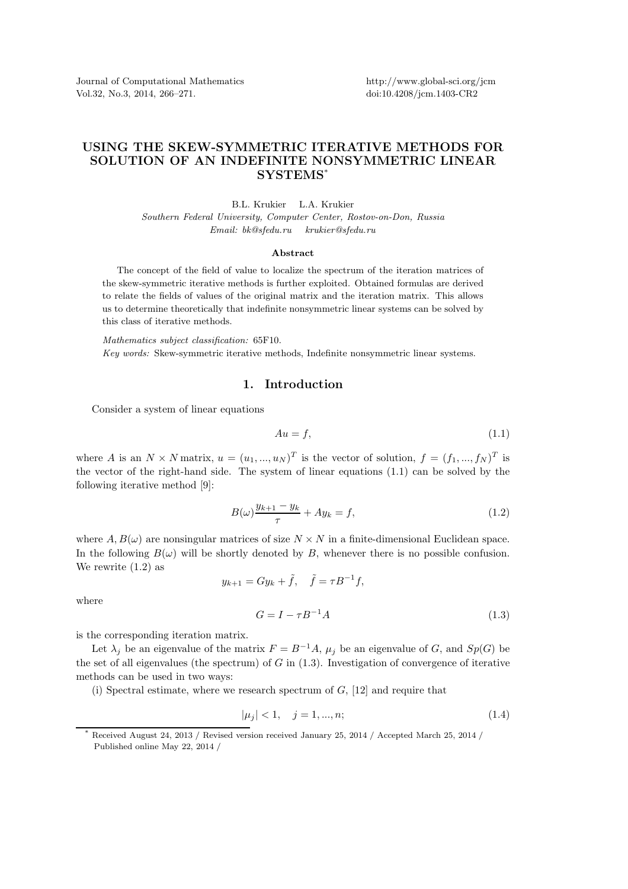Journal of Computational Mathematics Vol.32, No.3, 2014, 266–271.

http://www.global-sci.org/jcm doi:10.4208/jcm.1403-CR2

# USING THE SKEW-SYMMETRIC ITERATIVE METHODS FOR SOLUTION OF AN INDEFINITE NONSYMMETRIC LINEAR SYSTEMS\*

B.L. Krukier L.A. Krukier

*Southern Federal University, Computer Center, Rostov-on-Don, Russia Email: bk@sfedu.ru krukier@sfedu.ru*

#### Abstract

The concept of the field of value to localize the spectrum of the iteration matrices of the skew-symmetric iterative methods is further exploited. Obtained formulas are derived to relate the fields of values of the original matrix and the iteration matrix. This allows us to determine theoretically that indefinite nonsymmetric linear systems can be solved by this class of iterative methods.

*Mathematics subject classification:* 65F10. *Key words:* Skew-symmetric iterative methods, Indefinite nonsymmetric linear systems.

## 1. Introduction

Consider a system of linear equations

$$
Au = f,\tag{1.1}
$$

where A is an  $N \times N$  matrix,  $u = (u_1, ..., u_N)^T$  is the vector of solution,  $f = (f_1, ..., f_N)^T$  is the vector of the right-hand side. The system of linear equations (1.1) can be solved by the following iterative method [9]:

$$
B(\omega)\frac{y_{k+1} - y_k}{\tau} + Ay_k = f,
$$
\n(1.2)

where  $A, B(\omega)$  are nonsingular matrices of size  $N \times N$  in a finite-dimensional Euclidean space. In the following  $B(\omega)$  will be shortly denoted by B, whenever there is no possible confusion. We rewrite  $(1.2)$  as

$$
y_{k+1} = Gy_k + \tilde{f}, \quad \tilde{f} = \tau B^{-1} f,
$$

where

$$
G = I - \tau B^{-1} A \tag{1.3}
$$

is the corresponding iteration matrix.

Let  $\lambda_j$  be an eigenvalue of the matrix  $F = B^{-1}A$ ,  $\mu_j$  be an eigenvalue of G, and  $Sp(G)$  be the set of all eigenvalues (the spectrum) of  $G$  in  $(1.3)$ . Investigation of convergence of iterative methods can be used in two ways:

(i) Spectral estimate, where we research spectrum of  $G$ , [12] and require that

$$
|\mu_j| < 1, \quad j = 1, \dots, n; \tag{1.4}
$$

Received August 24, 2013 / Revised version received January 25, 2014 / Accepted March 25, 2014 / Published online May 22, 2014 /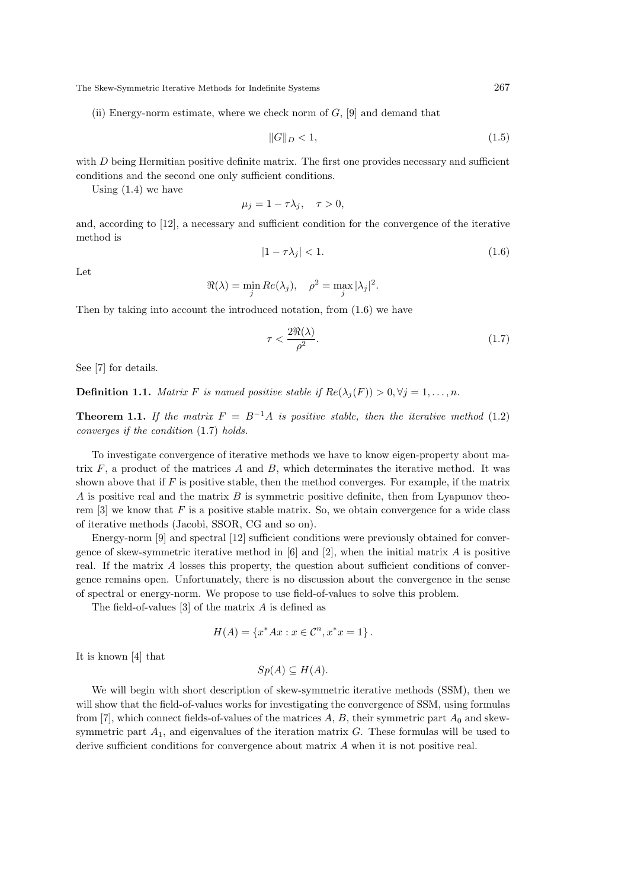The Skew-Symmetric Iterative Methods for Indefinite Systems 267

(ii) Energy-norm estimate, where we check norm of  $G$ , [9] and demand that

$$
||G||_D < 1,\tag{1.5}
$$

with  $D$  being Hermitian positive definite matrix. The first one provides necessary and sufficient conditions and the second one only sufficient conditions.

Using  $(1.4)$  we have

$$
\mu_j = 1 - \tau \lambda_j, \quad \tau > 0,
$$

and, according to [12], a necessary and sufficient condition for the convergence of the iterative method is

$$
|1 - \tau \lambda_j| < 1. \tag{1.6}
$$

Let

$$
\Re(\lambda) = \min_j Re(\lambda_j), \quad \rho^2 = \max_j |\lambda_j|^2.
$$

Then by taking into account the introduced notation, from (1.6) we have

$$
\tau < \frac{2\Re(\lambda)}{\rho^2}.\tag{1.7}
$$

See [7] for details.

**Definition 1.1.** Matrix F is named positive stable if  $Re(\lambda_i(F)) > 0, \forall j = 1, ..., n$ .

**Theorem 1.1.** If the matrix  $F = B^{-1}A$  is positive stable, then the iterative method (1.2) converges if the condition (1.7) holds.

To investigate convergence of iterative methods we have to know eigen-property about matrix  $F$ , a product of the matrices  $A$  and  $B$ , which determinates the iterative method. It was shown above that if  $F$  is positive stable, then the method converges. For example, if the matrix A is positive real and the matrix  $B$  is symmetric positive definite, then from Lyapunov theorem  $[3]$  we know that F is a positive stable matrix. So, we obtain convergence for a wide class of iterative methods (Jacobi, SSOR, CG and so on).

Energy-norm [9] and spectral [12] sufficient conditions were previously obtained for convergence of skew-symmetric iterative method in  $[6]$  and  $[2]$ , when the initial matrix A is positive real. If the matrix A losses this property, the question about sufficient conditions of convergence remains open. Unfortunately, there is no discussion about the convergence in the sense of spectral or energy-norm. We propose to use field-of-values to solve this problem.

The field-of-values [3] of the matrix A is defined as

$$
H(A) = \{x^* A x : x \in \mathcal{C}^n, x^* x = 1\}.
$$

It is known [4] that

 $Sp(A) \subseteq H(A).$ 

We will begin with short description of skew-symmetric iterative methods (SSM), then we will show that the field-of-values works for investigating the convergence of SSM, using formulas from [7], which connect fields-of-values of the matrices  $A, B$ , their symmetric part  $A_0$  and skewsymmetric part  $A_1$ , and eigenvalues of the iteration matrix  $G$ . These formulas will be used to derive sufficient conditions for convergence about matrix A when it is not positive real.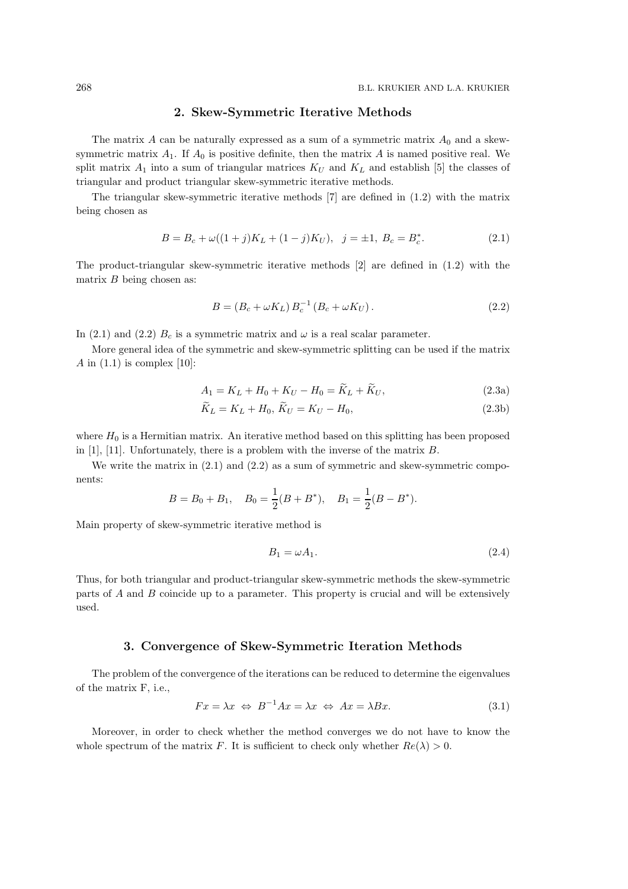## 2. Skew-Symmetric Iterative Methods

The matrix  $A$  can be naturally expressed as a sum of a symmetric matrix  $A_0$  and a skewsymmetric matrix  $A_1$ . If  $A_0$  is positive definite, then the matrix  $A$  is named positive real. We split matrix  $A_1$  into a sum of triangular matrices  $K_U$  and  $K_L$  and establish [5] the classes of triangular and product triangular skew-symmetric iterative methods.

The triangular skew-symmetric iterative methods [7] are defined in (1.2) with the matrix being chosen as

$$
B = B_c + \omega((1+j)K_L + (1-j)K_U), \ \ j = \pm 1, \ B_c = B_c^*.
$$
 (2.1)

The product-triangular skew-symmetric iterative methods [2] are defined in (1.2) with the matrix  $B$  being chosen as:

$$
B = (B_c + \omega K_L) B_c^{-1} (B_c + \omega K_U).
$$
 (2.2)

In (2.1) and (2.2)  $B_c$  is a symmetric matrix and  $\omega$  is a real scalar parameter.

More general idea of the symmetric and skew-symmetric splitting can be used if the matrix A in  $(1.1)$  is complex  $[10]$ :

$$
A_1 = K_L + H_0 + K_U - H_0 = \tilde{K}_L + \tilde{K}_U,
$$
\n(2.3a)

$$
K_L = K_L + H_0, \ K_U = K_U - H_0,\tag{2.3b}
$$

where  $H_0$  is a Hermitian matrix. An iterative method based on this splitting has been proposed in  $[1]$ ,  $[11]$ . Unfortunately, there is a problem with the inverse of the matrix  $B$ .

We write the matrix in  $(2.1)$  and  $(2.2)$  as a sum of symmetric and skew-symmetric components:

$$
B = B_0 + B_1
$$
,  $B_0 = \frac{1}{2}(B + B^*)$ ,  $B_1 = \frac{1}{2}(B - B^*)$ .

Main property of skew-symmetric iterative method is

$$
B_1 = \omega A_1. \tag{2.4}
$$

Thus, for both triangular and product-triangular skew-symmetric methods the skew-symmetric parts of A and B coincide up to a parameter. This property is crucial and will be extensively used.

## 3. Convergence of Skew-Symmetric Iteration Methods

The problem of the convergence of the iterations can be reduced to determine the eigenvalues of the matrix F, i.e.,

$$
Fx = \lambda x \Leftrightarrow B^{-1}Ax = \lambda x \Leftrightarrow Ax = \lambda Bx.
$$
\n(3.1)

Moreover, in order to check whether the method converges we do not have to know the whole spectrum of the matrix F. It is sufficient to check only whether  $Re(\lambda) > 0$ .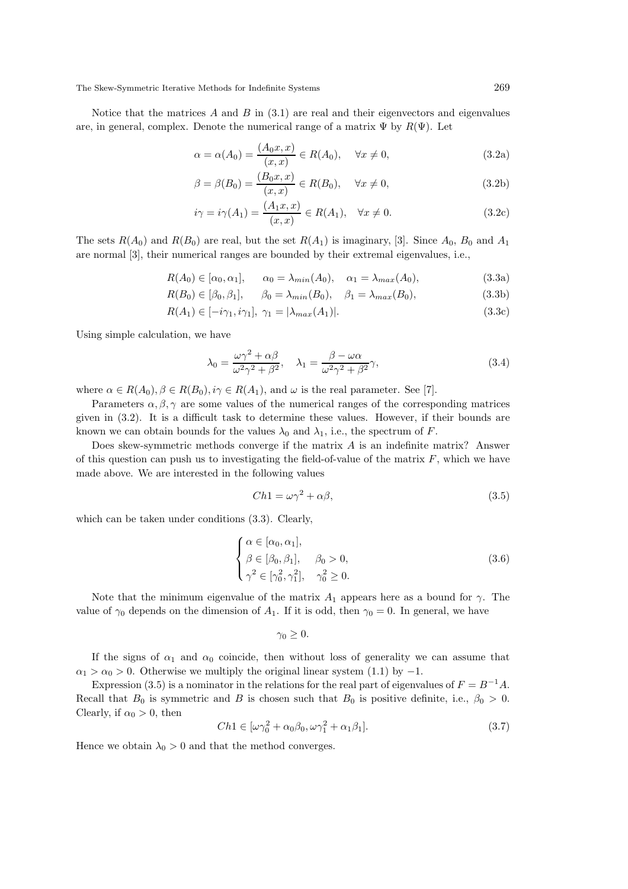The Skew-Symmetric Iterative Methods for Indefinite Systems 269

Notice that the matrices  $A$  and  $B$  in (3.1) are real and their eigenvectors and eigenvalues are, in general, complex. Denote the numerical range of a matrix  $\Psi$  by  $R(\Psi)$ . Let

$$
\alpha = \alpha(A_0) = \frac{(A_0 x, x)}{(x, x)} \in R(A_0), \quad \forall x \neq 0,
$$
\n(3.2a)

$$
\beta = \beta(B_0) = \frac{(B_0 x, x)}{(x, x)} \in R(B_0), \quad \forall x \neq 0,
$$
\n(3.2b)

$$
i\gamma = i\gamma(A_1) = \frac{(A_1x, x)}{(x, x)} \in R(A_1), \quad \forall x \neq 0.
$$
 (3.2c)

The sets  $R(A_0)$  and  $R(B_0)$  are real, but the set  $R(A_1)$  is imaginary, [3]. Since  $A_0$ ,  $B_0$  and  $A_1$ are normal [3], their numerical ranges are bounded by their extremal eigenvalues, i.e.,

$$
R(A_0) \in [\alpha_0, \alpha_1], \qquad \alpha_0 = \lambda_{min}(A_0), \qquad \alpha_1 = \lambda_{max}(A_0), \tag{3.3a}
$$

$$
R(B_0) \in [\beta_0, \beta_1], \quad \beta_0 = \lambda_{min}(B_0), \quad \beta_1 = \lambda_{max}(B_0), \tag{3.3b}
$$

$$
R(A_1) \in [-i\gamma_1, i\gamma_1], \ \gamma_1 = |\lambda_{max}(A_1)|. \tag{3.3c}
$$

Using simple calculation, we have

$$
\lambda_0 = \frac{\omega \gamma^2 + \alpha \beta}{\omega^2 \gamma^2 + \beta^2}, \quad \lambda_1 = \frac{\beta - \omega \alpha}{\omega^2 \gamma^2 + \beta^2} \gamma,
$$
\n(3.4)

where  $\alpha \in R(A_0), \beta \in R(B_0), i\gamma \in R(A_1)$ , and  $\omega$  is the real parameter. See [7].

Parameters  $\alpha, \beta, \gamma$  are some values of the numerical ranges of the corresponding matrices given in (3.2). It is a difficult task to determine these values. However, if their bounds are known we can obtain bounds for the values  $\lambda_0$  and  $\lambda_1$ , i.e., the spectrum of F.

Does skew-symmetric methods converge if the matrix  $A$  is an indefinite matrix? Answer of this question can push us to investigating the field-of-value of the matrix  $F$ , which we have made above. We are interested in the following values

$$
Ch1 = \omega \gamma^2 + \alpha \beta, \tag{3.5}
$$

which can be taken under conditions (3.3). Clearly,

$$
\begin{cases}\n\alpha \in [\alpha_0, \alpha_1], \\
\beta \in [\beta_0, \beta_1], \quad \beta_0 > 0, \\
\gamma^2 \in [\gamma_0^2, \gamma_1^2], \quad \gamma_0^2 \ge 0.\n\end{cases}
$$
\n(3.6)

Note that the minimum eigenvalue of the matrix  $A_1$  appears here as a bound for  $\gamma$ . The value of  $\gamma_0$  depends on the dimension of  $A_1$ . If it is odd, then  $\gamma_0 = 0$ . In general, we have

$$
\gamma_0 \geq 0.
$$

If the signs of  $\alpha_1$  and  $\alpha_0$  coincide, then without loss of generality we can assume that  $\alpha_1 > \alpha_0 > 0$ . Otherwise we multiply the original linear system (1.1) by -1.

Expression (3.5) is a nominator in the relations for the real part of eigenvalues of  $F = B^{-1}A$ . Recall that  $B_0$  is symmetric and B is chosen such that  $B_0$  is positive definite, i.e.,  $\beta_0 > 0$ . Clearly, if  $\alpha_0 > 0$ , then

$$
Ch1 \in [\omega \gamma_0^2 + \alpha_0 \beta_0, \omega \gamma_1^2 + \alpha_1 \beta_1]. \tag{3.7}
$$

Hence we obtain  $\lambda_0 > 0$  and that the method converges.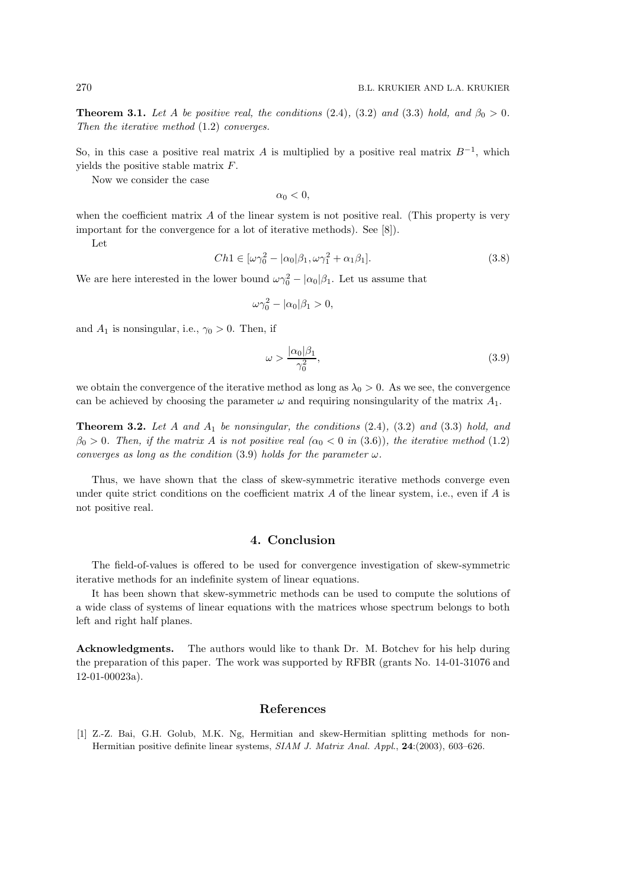**Theorem 3.1.** Let A be positive real, the conditions (2.4), (3.2) and (3.3) hold, and  $\beta_0 > 0$ . Then the iterative method  $(1.2)$  converges.

So, in this case a positive real matrix A is multiplied by a positive real matrix  $B^{-1}$ , which yields the positive stable matrix F.

Now we consider the case

$$
\alpha_0<0,
$$

when the coefficient matrix  $A$  of the linear system is not positive real. (This property is very important for the convergence for a lot of iterative methods). See [8]).

Let

$$
Ch1 \in [\omega \gamma_0^2 - |\alpha_0|\beta_1, \omega \gamma_1^2 + \alpha_1 \beta_1]. \tag{3.8}
$$

We are here interested in the lower bound  $\omega \gamma_0^2 - |\alpha_0| \beta_1$ . Let us assume that

$$
\omega \gamma_0^2 - |\alpha_0| \beta_1 > 0,
$$

and  $A_1$  is nonsingular, i.e.,  $\gamma_0 > 0$ . Then, if

$$
\omega > \frac{|\alpha_0|\beta_1}{\gamma_0^2},\tag{3.9}
$$

we obtain the convergence of the iterative method as long as  $\lambda_0 > 0$ . As we see, the convergence can be achieved by choosing the parameter  $\omega$  and requiring nonsingularity of the matrix  $A_1$ .

**Theorem 3.2.** Let A and  $A_1$  be nonsingular, the conditions  $(2.4)$ ,  $(3.2)$  and  $(3.3)$  hold, and  $\beta_0 > 0$ . Then, if the matrix A is not positive real  $(\alpha_0 < 0 \text{ in } (3.6))$ , the iterative method (1.2) converges as long as the condition (3.9) holds for the parameter  $\omega$ .

Thus, we have shown that the class of skew-symmetric iterative methods converge even under quite strict conditions on the coefficient matrix  $A$  of the linear system, i.e., even if  $A$  is not positive real.

## 4. Conclusion

The field-of-values is offered to be used for convergence investigation of skew-symmetric iterative methods for an indefinite system of linear equations.

It has been shown that skew-symmetric methods can be used to compute the solutions of a wide class of systems of linear equations with the matrices whose spectrum belongs to both left and right half planes.

Acknowledgments. The authors would like to thank Dr. M. Botchev for his help during the preparation of this paper. The work was supported by RFBR (grants No. 14-01-31076 and 12-01-00023a).

## References

[1] Z.-Z. Bai, G.H. Golub, M.K. Ng, Hermitian and skew-Hermitian splitting methods for non-Hermitian positive definite linear systems, *SIAM J. Matrix Anal. Appl*., 24:(2003), 603–626.